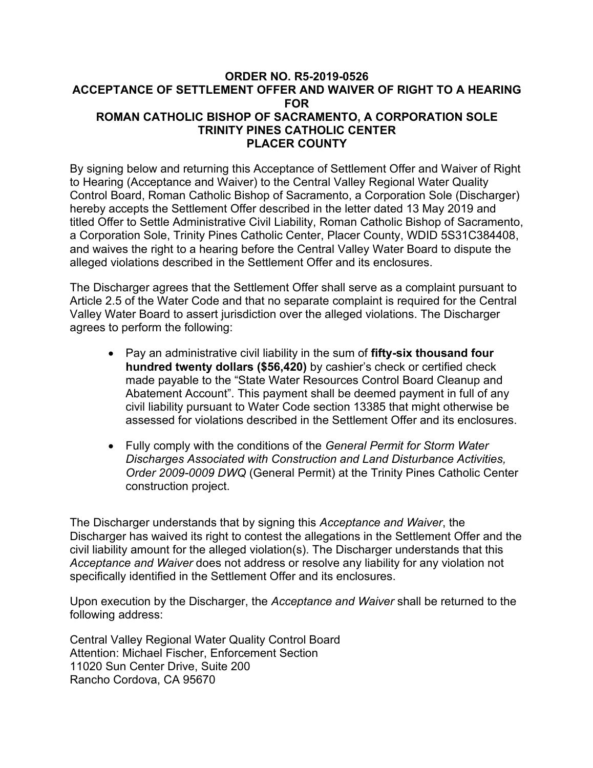#### **ORDER NO. R5-2019-0526 ACCEPTANCE OF SETTLEMENT OFFER AND WAIVER OF RIGHT TO A HEARING FOR ROMAN CATHOLIC BISHOP OF SACRAMENTO, A CORPORATION SOLE TRINITY PINES CATHOLIC CENTER PLACER COUNTY**

By signing below and returning this Acceptance of Settlement Offer and Waiver of Right to Hearing (Acceptance and Waiver) to the Central Valley Regional Water Quality Control Board, Roman Catholic Bishop of Sacramento, a Corporation Sole (Discharger) hereby accepts the Settlement Offer described in the letter dated 13 May 2019 and titled Offer to Settle Administrative Civil Liability, Roman Catholic Bishop of Sacramento, a Corporation Sole, Trinity Pines Catholic Center, Placer County, WDID 5S31C384408, and waives the right to a hearing before the Central Valley Water Board to dispute the alleged violations described in the Settlement Offer and its enclosures.

The Discharger agrees that the Settlement Offer shall serve as a complaint pursuant to Article 2.5 of the Water Code and that no separate complaint is required for the Central Valley Water Board to assert jurisdiction over the alleged violations. The Discharger agrees to perform the following:

- · Pay an administrative civil liability in the sum of **fifty-six thousand four hundred twenty dollars (\$56,420)** by cashier's check or certified check made payable to the "State Water Resources Control Board Cleanup and Abatement Account". This payment shall be deemed payment in full of any civil liability pursuant to Water Code section 13385 that might otherwise be assessed for violations described in the Settlement Offer and its enclosures.
- · Fully comply with the conditions of the *General Permit for Storm Water Discharges Associated with Construction and Land Disturbance Activities, Order 2009-0009 DWQ* (General Permit) at the Trinity Pines Catholic Center construction project.

The Discharger understands that by signing this *Acceptance and Waiver*, the Discharger has waived its right to contest the allegations in the Settlement Offer and the civil liability amount for the alleged violation(s). The Discharger understands that this *Acceptance and Waiver* does not address or resolve any liability for any violation not specifically identified in the Settlement Offer and its enclosures.

Upon execution by the Discharger, the *Acceptance and Waiver* shall be returned to the following address:

Central Valley Regional Water Quality Control Board Attention: Michael Fischer, Enforcement Section 11020 Sun Center Drive, Suite 200 Rancho Cordova, CA 95670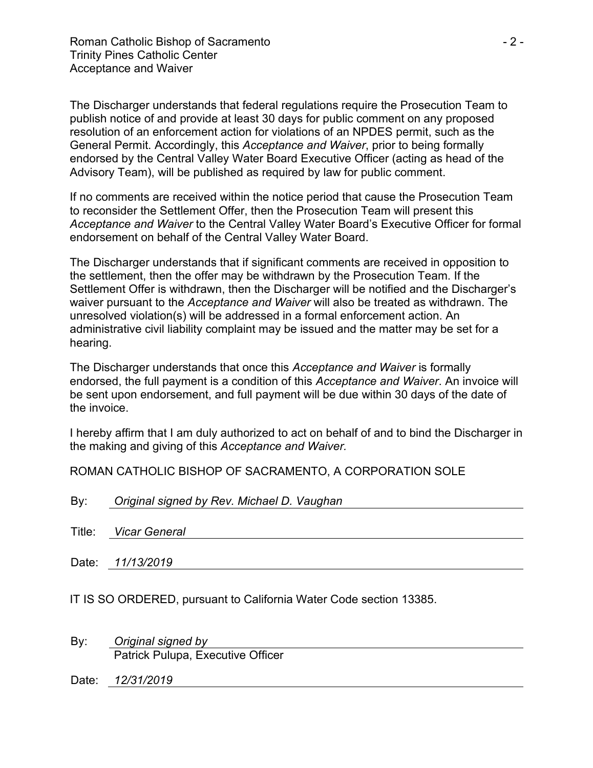The Discharger understands that federal regulations require the Prosecution Team to publish notice of and provide at least 30 days for public comment on any proposed resolution of an enforcement action for violations of an NPDES permit, such as the General Permit. Accordingly, this *Acceptance and Waiver*, prior to being formally endorsed by the Central Valley Water Board Executive Officer (acting as head of the Advisory Team), will be published as required by law for public comment.

If no comments are received within the notice period that cause the Prosecution Team to reconsider the Settlement Offer, then the Prosecution Team will present this *Acceptance and Waiver* to the Central Valley Water Board's Executive Officer for formal endorsement on behalf of the Central Valley Water Board.

The Discharger understands that if significant comments are received in opposition to the settlement, then the offer may be withdrawn by the Prosecution Team. If the Settlement Offer is withdrawn, then the Discharger will be notified and the Discharger's waiver pursuant to the *Acceptance and Waiver* will also be treated as withdrawn. The unresolved violation(s) will be addressed in a formal enforcement action. An administrative civil liability complaint may be issued and the matter may be set for a hearing.

The Discharger understands that once this *Acceptance and Waiver* is formally endorsed, the full payment is a condition of this *Acceptance and Waiver*. An invoice will be sent upon endorsement, and full payment will be due within 30 days of the date of the invoice.

I hereby affirm that I am duly authorized to act on behalf of and to bind the Discharger in the making and giving of this *Acceptance and Waiver.*

ROMAN CATHOLIC BISHOP OF SACRAMENTO, A CORPORATION SOLE

| By: | Original signed by Rev. Michael D. Vaughan |  |  |
|-----|--------------------------------------------|--|--|
|     |                                            |  |  |
|     | Title: Vicar General                       |  |  |
|     |                                            |  |  |
|     | Date: 11/13/2019                           |  |  |
|     |                                            |  |  |

IT IS SO ORDERED, pursuant to California Water Code section 13385.

By: *Original signed by* Patrick Pulupa, Executive Officer

Date: *12/31/2019*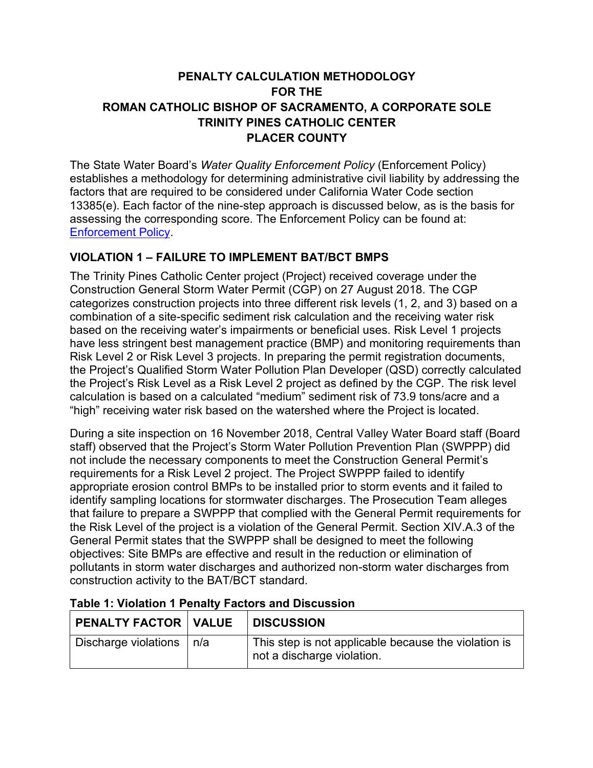# **PENALTY CALCULATION METHODOLOGY FOR THE ROMAN CATHOLIC BISHOP OF SACRAMENTO, A CORPORATE SOLE TRINITY PINES CATHOLIC CENTER PLACER COUNTY**

The State Water Board's *Water Quality Enforcement Policy* (Enforcement Policy) establishes a methodology for determining administrative civil liability by addressing the factors that are required to be considered under California Water Code section 13385(e). Each factor of the nine-step approach is discussed below, as is the basis for assessing the corresponding score. The Enforcement Policy can be found at: [Enforcement Policy](https://www.waterboards.ca.gov/board_decisions/adopted_orders/resolutions/2017/040417_9_final adopted policy.pdf).

### **VIOLATION 1 – FAILURE TO IMPLEMENT BAT/BCT BMPS**

The Trinity Pines Catholic Center project (Project) received coverage under the Construction General Storm Water Permit (CGP) on 27 August 2018. The CGP categorizes construction projects into three different risk levels (1, 2, and 3) based on a combination of a site-specific sediment risk calculation and the receiving water risk based on the receiving water's impairments or beneficial uses. Risk Level 1 projects have less stringent best management practice (BMP) and monitoring requirements than Risk Level 2 or Risk Level 3 projects. In preparing the permit registration documents, the Project's Qualified Storm Water Pollution Plan Developer (QSD) correctly calculated the Project's Risk Level as a Risk Level 2 project as defined by the CGP. The risk level calculation is based on a calculated "medium" sediment risk of 73.9 tons/acre and a "high" receiving water risk based on the watershed where the Project is located.

During a site inspection on 16 November 2018, Central Valley Water Board staff (Board staff) observed that the Project's Storm Water Pollution Prevention Plan (SWPPP) did not include the necessary components to meet the Construction General Permit's requirements for a Risk Level 2 project. The Project SWPPP failed to identify appropriate erosion control BMPs to be installed prior to storm events and it failed to identify sampling locations for stormwater discharges. The Prosecution Team alleges that failure to prepare a SWPPP that complied with the General Permit requirements for the Risk Level of the project is a violation of the General Permit. Section XIV.A.3 of the General Permit states that the SWPPP shall be designed to meet the following objectives: Site BMPs are effective and result in the reduction or elimination of pollutants in storm water discharges and authorized non-storm water discharges from construction activity to the BAT/BCT standard.

| $^\shortparallel$ PENALTY FACTOR $\mid$ VALUE | <b>DISCUSSION</b>                                                                  |
|-----------------------------------------------|------------------------------------------------------------------------------------|
| <sup>∣</sup> Discharge violations │n/a        | This step is not applicable because the violation is<br>not a discharge violation. |

### **Table 1: Violation 1 Penalty Factors and Discussion**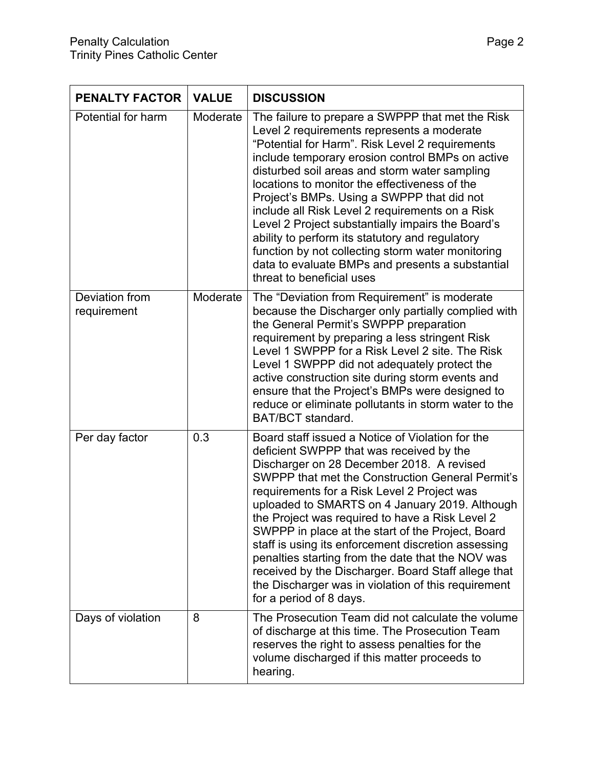| <b>PENALTY FACTOR</b>         | <b>VALUE</b> | <b>DISCUSSION</b>                                                                                                                                                                                                                                                                                                                                                                                                                                                                                                                                                                                                                                                  |
|-------------------------------|--------------|--------------------------------------------------------------------------------------------------------------------------------------------------------------------------------------------------------------------------------------------------------------------------------------------------------------------------------------------------------------------------------------------------------------------------------------------------------------------------------------------------------------------------------------------------------------------------------------------------------------------------------------------------------------------|
| Potential for harm            | Moderate     | The failure to prepare a SWPPP that met the Risk<br>Level 2 requirements represents a moderate<br>"Potential for Harm". Risk Level 2 requirements<br>include temporary erosion control BMPs on active<br>disturbed soil areas and storm water sampling<br>locations to monitor the effectiveness of the<br>Project's BMPs. Using a SWPPP that did not<br>include all Risk Level 2 requirements on a Risk<br>Level 2 Project substantially impairs the Board's<br>ability to perform its statutory and regulatory<br>function by not collecting storm water monitoring<br>data to evaluate BMPs and presents a substantial<br>threat to beneficial uses             |
| Deviation from<br>requirement | Moderate     | The "Deviation from Requirement" is moderate<br>because the Discharger only partially complied with<br>the General Permit's SWPPP preparation<br>requirement by preparing a less stringent Risk<br>Level 1 SWPPP for a Risk Level 2 site. The Risk<br>Level 1 SWPPP did not adequately protect the<br>active construction site during storm events and<br>ensure that the Project's BMPs were designed to<br>reduce or eliminate pollutants in storm water to the<br><b>BAT/BCT</b> standard.                                                                                                                                                                      |
| Per day factor                | 0.3          | Board staff issued a Notice of Violation for the<br>deficient SWPPP that was received by the<br>Discharger on 28 December 2018. A revised<br><b>SWPPP that met the Construction General Permit's</b><br>requirements for a Risk Level 2 Project was<br>uploaded to SMARTS on 4 January 2019. Although<br>the Project was required to have a Risk Level 2<br>SWPPP in place at the start of the Project, Board<br>staff is using its enforcement discretion assessing<br>penalties starting from the date that the NOV was<br>received by the Discharger. Board Staff allege that<br>the Discharger was in violation of this requirement<br>for a period of 8 days. |
| Days of violation             | 8            | The Prosecution Team did not calculate the volume<br>of discharge at this time. The Prosecution Team<br>reserves the right to assess penalties for the<br>volume discharged if this matter proceeds to<br>hearing.                                                                                                                                                                                                                                                                                                                                                                                                                                                 |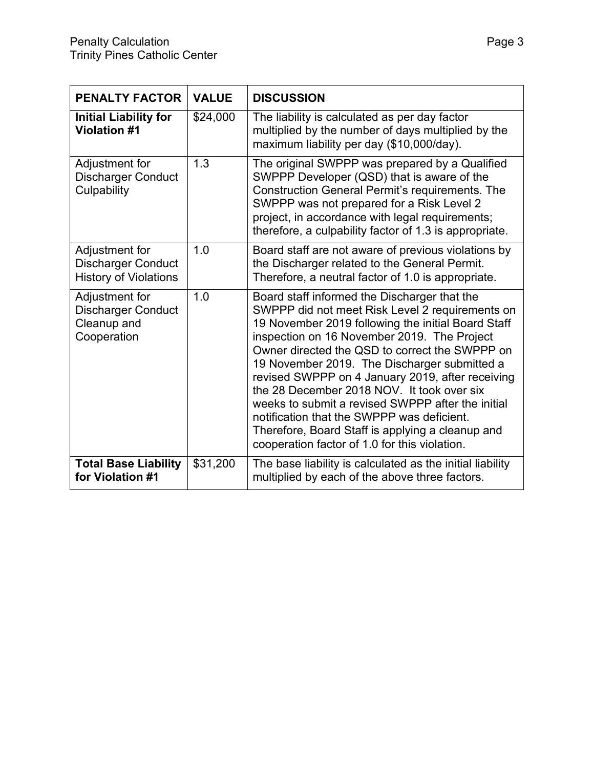| <b>PENALTY FACTOR</b>                                                       | <b>VALUE</b> | <b>DISCUSSION</b>                                                                                                                                                                                                                                                                                                                                                                                                                                                                                                                                                                                                |
|-----------------------------------------------------------------------------|--------------|------------------------------------------------------------------------------------------------------------------------------------------------------------------------------------------------------------------------------------------------------------------------------------------------------------------------------------------------------------------------------------------------------------------------------------------------------------------------------------------------------------------------------------------------------------------------------------------------------------------|
| <b>Initial Liability for</b><br><b>Violation #1</b>                         | \$24,000     | The liability is calculated as per day factor<br>multiplied by the number of days multiplied by the<br>maximum liability per day (\$10,000/day).                                                                                                                                                                                                                                                                                                                                                                                                                                                                 |
| Adjustment for<br><b>Discharger Conduct</b><br>Culpability                  | 1.3          | The original SWPPP was prepared by a Qualified<br>SWPPP Developer (QSD) that is aware of the<br><b>Construction General Permit's requirements. The</b><br>SWPPP was not prepared for a Risk Level 2<br>project, in accordance with legal requirements;<br>therefore, a culpability factor of 1.3 is appropriate.                                                                                                                                                                                                                                                                                                 |
| Adjustment for<br><b>Discharger Conduct</b><br><b>History of Violations</b> | 1.0          | Board staff are not aware of previous violations by<br>the Discharger related to the General Permit.<br>Therefore, a neutral factor of 1.0 is appropriate.                                                                                                                                                                                                                                                                                                                                                                                                                                                       |
| Adjustment for<br><b>Discharger Conduct</b><br>Cleanup and<br>Cooperation   | 1.0          | Board staff informed the Discharger that the<br>SWPPP did not meet Risk Level 2 requirements on<br>19 November 2019 following the initial Board Staff<br>inspection on 16 November 2019. The Project<br>Owner directed the QSD to correct the SWPPP on<br>19 November 2019. The Discharger submitted a<br>revised SWPPP on 4 January 2019, after receiving<br>the 28 December 2018 NOV. It took over six<br>weeks to submit a revised SWPPP after the initial<br>notification that the SWPPP was deficient.<br>Therefore, Board Staff is applying a cleanup and<br>cooperation factor of 1.0 for this violation. |
| <b>Total Base Liability</b><br>for Violation #1                             | \$31,200     | The base liability is calculated as the initial liability<br>multiplied by each of the above three factors.                                                                                                                                                                                                                                                                                                                                                                                                                                                                                                      |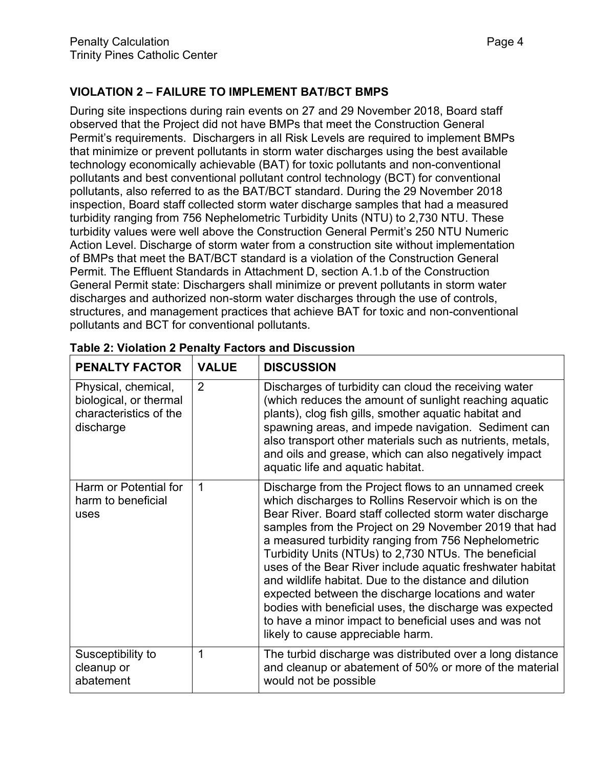### **VIOLATION 2 – FAILURE TO IMPLEMENT BAT/BCT BMPS**

During site inspections during rain events on 27 and 29 November 2018, Board staff observed that the Project did not have BMPs that meet the Construction General Permit's requirements. Dischargers in all Risk Levels are required to implement BMPs that minimize or prevent pollutants in storm water discharges using the best available technology economically achievable (BAT) for toxic pollutants and non-conventional pollutants and best conventional pollutant control technology (BCT) for conventional pollutants, also referred to as the BAT/BCT standard. During the 29 November 2018 inspection, Board staff collected storm water discharge samples that had a measured turbidity ranging from 756 Nephelometric Turbidity Units (NTU) to 2,730 NTU. These turbidity values were well above the Construction General Permit's 250 NTU Numeric Action Level. Discharge of storm water from a construction site without implementation of BMPs that meet the BAT/BCT standard is a violation of the Construction General Permit. The Effluent Standards in Attachment D, section A.1.b of the Construction General Permit state: Dischargers shall minimize or prevent pollutants in storm water discharges and authorized non-storm water discharges through the use of controls, structures, and management practices that achieve BAT for toxic and non-conventional pollutants and BCT for conventional pollutants.

| <b>PENALTY FACTOR</b>                                                                | <b>VALUE</b>   | <b>DISCUSSION</b>                                                                                                                                                                                                                                                                                                                                                                                                                                                                                                                                                                                                                                                                      |  |
|--------------------------------------------------------------------------------------|----------------|----------------------------------------------------------------------------------------------------------------------------------------------------------------------------------------------------------------------------------------------------------------------------------------------------------------------------------------------------------------------------------------------------------------------------------------------------------------------------------------------------------------------------------------------------------------------------------------------------------------------------------------------------------------------------------------|--|
| Physical, chemical,<br>biological, or thermal<br>characteristics of the<br>discharge | $\overline{2}$ | Discharges of turbidity can cloud the receiving water<br>(which reduces the amount of sunlight reaching aquatic<br>plants), clog fish gills, smother aquatic habitat and<br>spawning areas, and impede navigation. Sediment can<br>also transport other materials such as nutrients, metals,<br>and oils and grease, which can also negatively impact<br>aquatic life and aquatic habitat.                                                                                                                                                                                                                                                                                             |  |
| Harm or Potential for<br>harm to beneficial<br>uses                                  | 1              | Discharge from the Project flows to an unnamed creek<br>which discharges to Rollins Reservoir which is on the<br>Bear River. Board staff collected storm water discharge<br>samples from the Project on 29 November 2019 that had<br>a measured turbidity ranging from 756 Nephelometric<br>Turbidity Units (NTUs) to 2,730 NTUs. The beneficial<br>uses of the Bear River include aquatic freshwater habitat<br>and wildlife habitat. Due to the distance and dilution<br>expected between the discharge locations and water<br>bodies with beneficial uses, the discharge was expected<br>to have a minor impact to beneficial uses and was not<br>likely to cause appreciable harm. |  |
| Susceptibility to<br>cleanup or<br>abatement                                         | 1              | The turbid discharge was distributed over a long distance<br>and cleanup or abatement of 50% or more of the material<br>would not be possible                                                                                                                                                                                                                                                                                                                                                                                                                                                                                                                                          |  |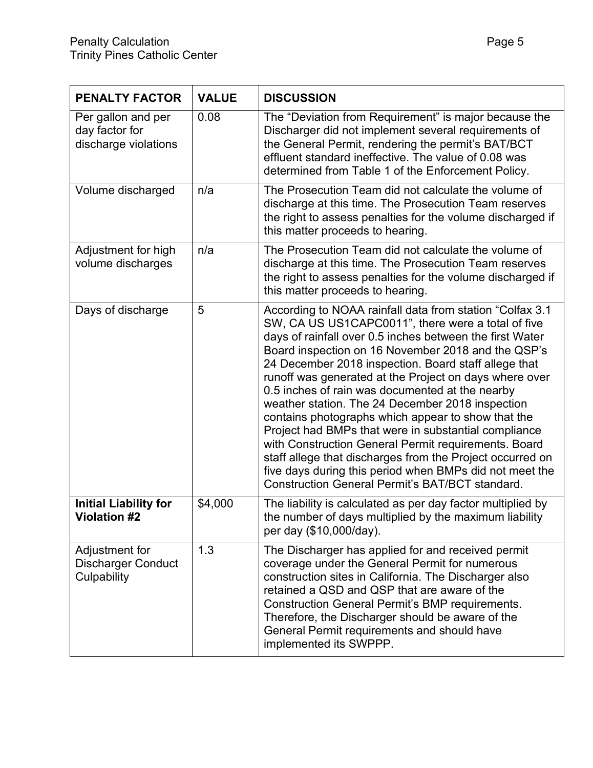| <b>PENALTY FACTOR</b>                                        | <b>VALUE</b> | <b>DISCUSSION</b>                                                                                                                                                                                                                                                                                                                                                                                                                                                                                                                                                                                                                                                                                                                                                                                                 |
|--------------------------------------------------------------|--------------|-------------------------------------------------------------------------------------------------------------------------------------------------------------------------------------------------------------------------------------------------------------------------------------------------------------------------------------------------------------------------------------------------------------------------------------------------------------------------------------------------------------------------------------------------------------------------------------------------------------------------------------------------------------------------------------------------------------------------------------------------------------------------------------------------------------------|
| Per gallon and per<br>day factor for<br>discharge violations | 0.08         | The "Deviation from Requirement" is major because the<br>Discharger did not implement several requirements of<br>the General Permit, rendering the permit's BAT/BCT<br>effluent standard ineffective. The value of 0.08 was<br>determined from Table 1 of the Enforcement Policy.                                                                                                                                                                                                                                                                                                                                                                                                                                                                                                                                 |
| Volume discharged                                            | n/a          | The Prosecution Team did not calculate the volume of<br>discharge at this time. The Prosecution Team reserves<br>the right to assess penalties for the volume discharged if<br>this matter proceeds to hearing.                                                                                                                                                                                                                                                                                                                                                                                                                                                                                                                                                                                                   |
| Adjustment for high<br>volume discharges                     | n/a          | The Prosecution Team did not calculate the volume of<br>discharge at this time. The Prosecution Team reserves<br>the right to assess penalties for the volume discharged if<br>this matter proceeds to hearing.                                                                                                                                                                                                                                                                                                                                                                                                                                                                                                                                                                                                   |
| Days of discharge                                            | 5            | According to NOAA rainfall data from station "Colfax 3.1<br>SW, CA US US1CAPC0011", there were a total of five<br>days of rainfall over 0.5 inches between the first Water<br>Board inspection on 16 November 2018 and the QSP's<br>24 December 2018 inspection. Board staff allege that<br>runoff was generated at the Project on days where over<br>0.5 inches of rain was documented at the nearby<br>weather station. The 24 December 2018 inspection<br>contains photographs which appear to show that the<br>Project had BMPs that were in substantial compliance<br>with Construction General Permit requirements. Board<br>staff allege that discharges from the Project occurred on<br>five days during this period when BMPs did not meet the<br><b>Construction General Permit's BAT/BCT standard.</b> |
| <b>Initial Liability for</b><br><b>Violation #2</b>          | \$4,000      | The liability is calculated as per day factor multiplied by<br>the number of days multiplied by the maximum liability<br>per day (\$10,000/day).                                                                                                                                                                                                                                                                                                                                                                                                                                                                                                                                                                                                                                                                  |
| Adjustment for<br><b>Discharger Conduct</b><br>Culpability   | 1.3          | The Discharger has applied for and received permit<br>coverage under the General Permit for numerous<br>construction sites in California. The Discharger also<br>retained a QSD and QSP that are aware of the<br>Construction General Permit's BMP requirements.<br>Therefore, the Discharger should be aware of the<br>General Permit requirements and should have<br>implemented its SWPPP.                                                                                                                                                                                                                                                                                                                                                                                                                     |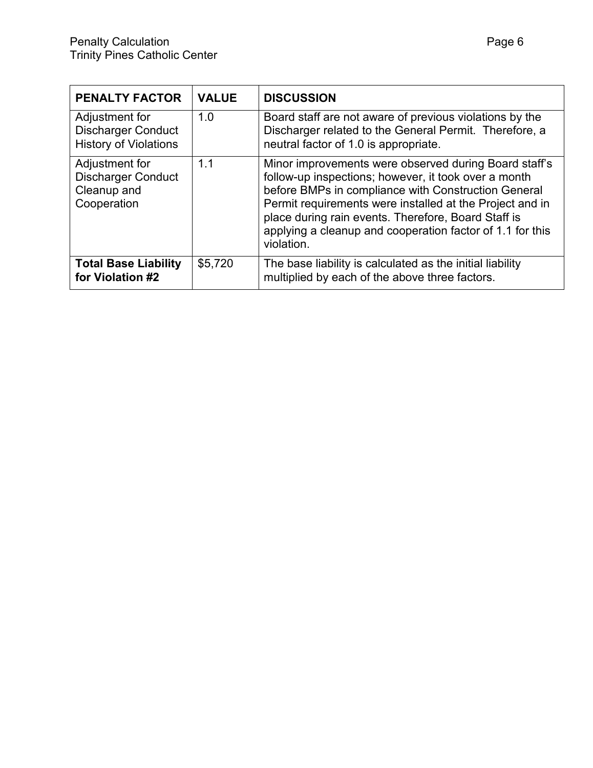| <b>PENALTY FACTOR</b>                                                       | <b>VALUE</b> | <b>DISCUSSION</b>                                                                                                                                                                                                                                                                                                                                                  |
|-----------------------------------------------------------------------------|--------------|--------------------------------------------------------------------------------------------------------------------------------------------------------------------------------------------------------------------------------------------------------------------------------------------------------------------------------------------------------------------|
| Adjustment for<br><b>Discharger Conduct</b><br><b>History of Violations</b> | 1.0          | Board staff are not aware of previous violations by the<br>Discharger related to the General Permit. Therefore, a<br>neutral factor of 1.0 is appropriate.                                                                                                                                                                                                         |
| Adjustment for<br><b>Discharger Conduct</b><br>Cleanup and<br>Cooperation   | 1.1          | Minor improvements were observed during Board staff's<br>follow-up inspections; however, it took over a month<br>before BMPs in compliance with Construction General<br>Permit requirements were installed at the Project and in<br>place during rain events. Therefore, Board Staff is<br>applying a cleanup and cooperation factor of 1.1 for this<br>violation. |
| <b>Total Base Liability</b><br>for Violation #2                             | \$5,720      | The base liability is calculated as the initial liability<br>multiplied by each of the above three factors.                                                                                                                                                                                                                                                        |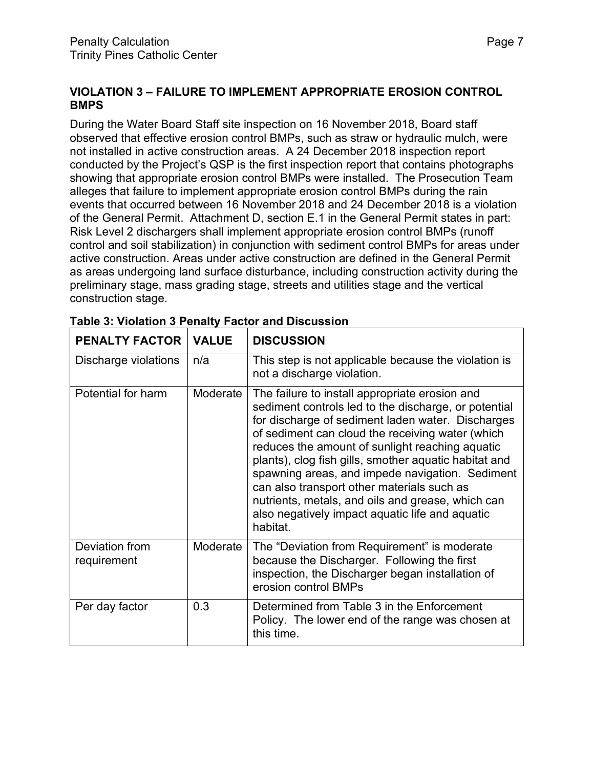#### **VIOLATION 3 – FAILURE TO IMPLEMENT APPROPRIATE EROSION CONTROL BMPS**

During the Water Board Staff site inspection on 16 November 2018, Board staff observed that effective erosion control BMPs, such as straw or hydraulic mulch, were not installed in active construction areas. A 24 December 2018 inspection report conducted by the Project's QSP is the first inspection report that contains photographs showing that appropriate erosion control BMPs were installed. The Prosecution Team alleges that failure to implement appropriate erosion control BMPs during the rain events that occurred between 16 November 2018 and 24 December 2018 is a violation of the General Permit. Attachment D, section E.1 in the General Permit states in part: Risk Level 2 dischargers shall implement appropriate erosion control BMPs (runoff control and soil stabilization) in conjunction with sediment control BMPs for areas under active construction. Areas under active construction are defined in the General Permit as areas undergoing land surface disturbance, including construction activity during the preliminary stage, mass grading stage, streets and utilities stage and the vertical construction stage.

| <b>PENALTY FACTOR</b>         | <b>VALUE</b> | <b>DISCUSSION</b>                                                                                                                                                                                                                                                                                                                                                                                                                                                                                                                                |
|-------------------------------|--------------|--------------------------------------------------------------------------------------------------------------------------------------------------------------------------------------------------------------------------------------------------------------------------------------------------------------------------------------------------------------------------------------------------------------------------------------------------------------------------------------------------------------------------------------------------|
| Discharge violations          | n/a          | This step is not applicable because the violation is<br>not a discharge violation.                                                                                                                                                                                                                                                                                                                                                                                                                                                               |
| Potential for harm            | Moderate     | The failure to install appropriate erosion and<br>sediment controls led to the discharge, or potential<br>for discharge of sediment laden water. Discharges<br>of sediment can cloud the receiving water (which<br>reduces the amount of sunlight reaching aquatic<br>plants), clog fish gills, smother aquatic habitat and<br>spawning areas, and impede navigation. Sediment<br>can also transport other materials such as<br>nutrients, metals, and oils and grease, which can<br>also negatively impact aquatic life and aquatic<br>habitat. |
| Deviation from<br>requirement | Moderate     | The "Deviation from Requirement" is moderate<br>because the Discharger. Following the first<br>inspection, the Discharger began installation of<br>erosion control BMPs                                                                                                                                                                                                                                                                                                                                                                          |
| Per day factor                | 0.3          | Determined from Table 3 in the Enforcement<br>Policy. The lower end of the range was chosen at<br>this time.                                                                                                                                                                                                                                                                                                                                                                                                                                     |

|--|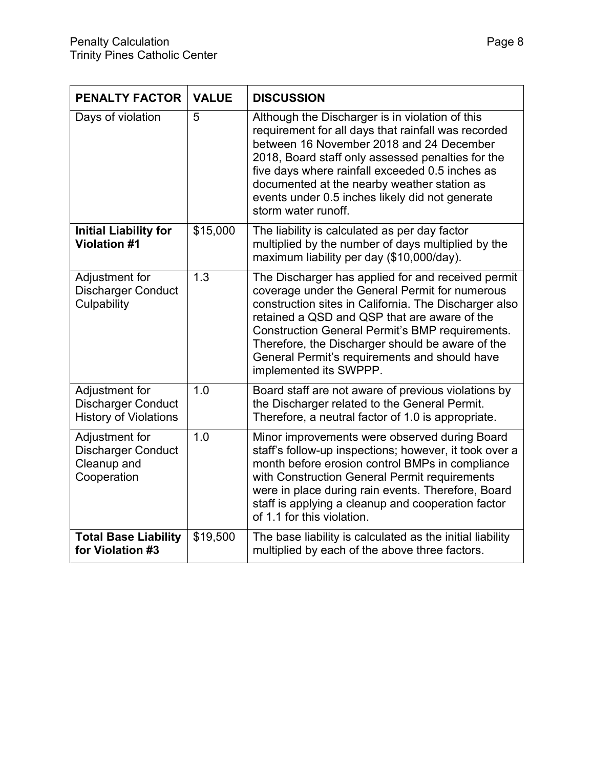| <b>PENALTY FACTOR</b>                                                       | <b>VALUE</b> | <b>DISCUSSION</b>                                                                                                                                                                                                                                                                                                                                                                               |
|-----------------------------------------------------------------------------|--------------|-------------------------------------------------------------------------------------------------------------------------------------------------------------------------------------------------------------------------------------------------------------------------------------------------------------------------------------------------------------------------------------------------|
| Days of violation                                                           | 5            | Although the Discharger is in violation of this<br>requirement for all days that rainfall was recorded<br>between 16 November 2018 and 24 December<br>2018, Board staff only assessed penalties for the<br>five days where rainfall exceeded 0.5 inches as<br>documented at the nearby weather station as<br>events under 0.5 inches likely did not generate<br>storm water runoff.             |
| <b>Initial Liability for</b><br><b>Violation #1</b>                         | \$15,000     | The liability is calculated as per day factor<br>multiplied by the number of days multiplied by the<br>maximum liability per day (\$10,000/day).                                                                                                                                                                                                                                                |
| Adjustment for<br><b>Discharger Conduct</b><br>Culpability                  | 1.3          | The Discharger has applied for and received permit<br>coverage under the General Permit for numerous<br>construction sites in California. The Discharger also<br>retained a QSD and QSP that are aware of the<br>Construction General Permit's BMP requirements.<br>Therefore, the Discharger should be aware of the<br>General Permit's requirements and should have<br>implemented its SWPPP. |
| Adjustment for<br><b>Discharger Conduct</b><br><b>History of Violations</b> | 1.0          | Board staff are not aware of previous violations by<br>the Discharger related to the General Permit.<br>Therefore, a neutral factor of 1.0 is appropriate.                                                                                                                                                                                                                                      |
| Adjustment for<br><b>Discharger Conduct</b><br>Cleanup and<br>Cooperation   | 1.0          | Minor improvements were observed during Board<br>staff's follow-up inspections; however, it took over a<br>month before erosion control BMPs in compliance<br>with Construction General Permit requirements<br>were in place during rain events. Therefore, Board<br>staff is applying a cleanup and cooperation factor<br>of 1.1 for this violation.                                           |
| <b>Total Base Liability</b><br>for Violation #3                             | \$19,500     | The base liability is calculated as the initial liability<br>multiplied by each of the above three factors.                                                                                                                                                                                                                                                                                     |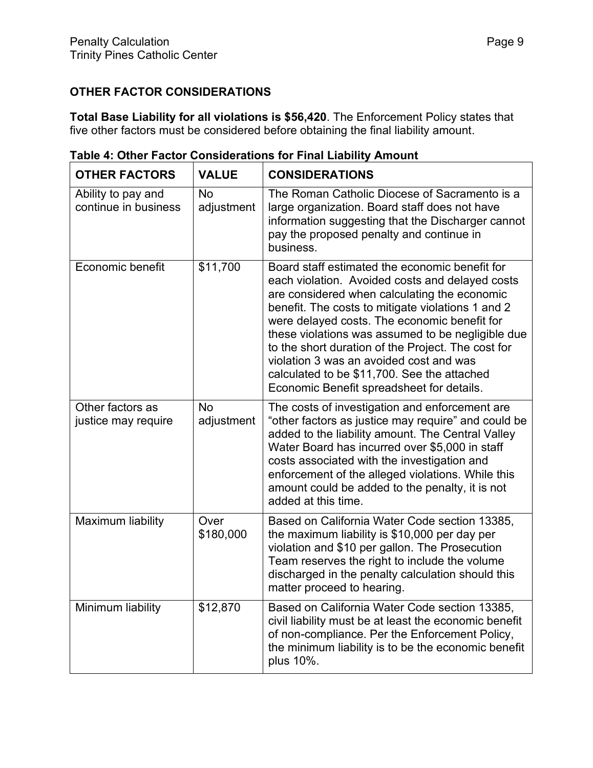## **OTHER FACTOR CONSIDERATIONS**

**Total Base Liability for all violations is \$56,420**. The Enforcement Policy states that five other factors must be considered before obtaining the final liability amount.

| <b>OTHER FACTORS</b>                       | <b>VALUE</b>            | <b>CONSIDERATIONS</b>                                                                                                                                                                                                                                                                                                                                                                                                                                                                                    |
|--------------------------------------------|-------------------------|----------------------------------------------------------------------------------------------------------------------------------------------------------------------------------------------------------------------------------------------------------------------------------------------------------------------------------------------------------------------------------------------------------------------------------------------------------------------------------------------------------|
| Ability to pay and<br>continue in business | <b>No</b><br>adjustment | The Roman Catholic Diocese of Sacramento is a<br>large organization. Board staff does not have<br>information suggesting that the Discharger cannot<br>pay the proposed penalty and continue in<br>business.                                                                                                                                                                                                                                                                                             |
| Economic benefit                           | \$11,700                | Board staff estimated the economic benefit for<br>each violation. Avoided costs and delayed costs<br>are considered when calculating the economic<br>benefit. The costs to mitigate violations 1 and 2<br>were delayed costs. The economic benefit for<br>these violations was assumed to be negligible due<br>to the short duration of the Project. The cost for<br>violation 3 was an avoided cost and was<br>calculated to be \$11,700. See the attached<br>Economic Benefit spreadsheet for details. |
| Other factors as<br>justice may require    | <b>No</b><br>adjustment | The costs of investigation and enforcement are<br>"other factors as justice may require" and could be<br>added to the liability amount. The Central Valley<br>Water Board has incurred over \$5,000 in staff<br>costs associated with the investigation and<br>enforcement of the alleged violations. While this<br>amount could be added to the penalty, it is not<br>added at this time.                                                                                                               |
| Maximum liability                          | Over<br>\$180,000       | Based on California Water Code section 13385,<br>the maximum liability is \$10,000 per day per<br>violation and \$10 per gallon. The Prosecution<br>Team reserves the right to include the volume<br>discharged in the penalty calculation should this<br>matter proceed to hearing.                                                                                                                                                                                                                     |
| Minimum liability                          | \$12,870                | Based on California Water Code section 13385,<br>civil liability must be at least the economic benefit<br>of non-compliance. Per the Enforcement Policy,<br>the minimum liability is to be the economic benefit<br>plus 10%.                                                                                                                                                                                                                                                                             |

**Table 4: Other Factor Considerations for Final Liability Amount**